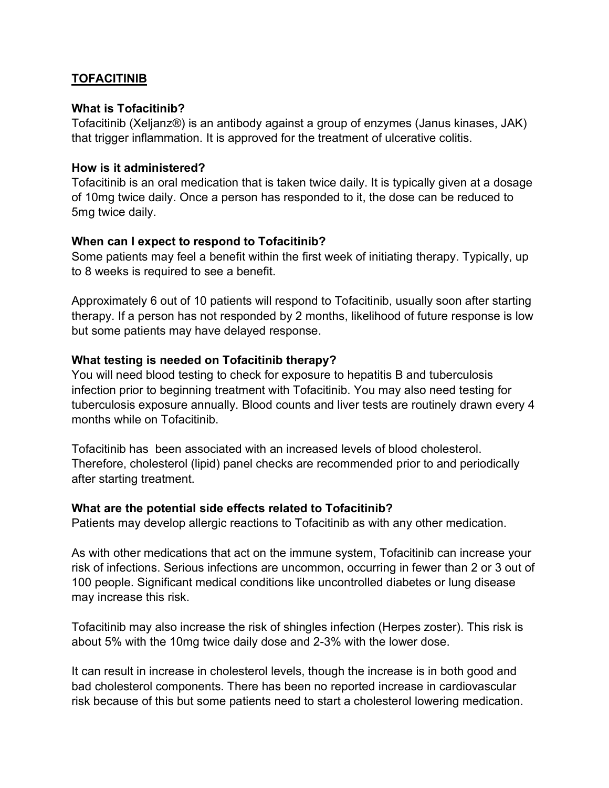# **TOFACITINIB**

### What is Tofacitinib?

Tofacitinib (Xeljanz®) is an antibody against a group of enzymes (Janus kinases, JAK) that trigger inflammation. It is approved for the treatment of ulcerative colitis.

#### How is it administered?

Tofacitinib is an oral medication that is taken twice daily. It is typically given at a dosage of 10mg twice daily. Once a person has responded to it, the dose can be reduced to 5mg twice daily.

## When can I expect to respond to Tofacitinib?

Some patients may feel a benefit within the first week of initiating therapy. Typically, up to 8 weeks is required to see a benefit.

Approximately 6 out of 10 patients will respond to Tofacitinib, usually soon after starting therapy. If a person has not responded by 2 months, likelihood of future response is low but some patients may have delayed response.

#### What testing is needed on Tofacitinib therapy?

You will need blood testing to check for exposure to hepatitis B and tuberculosis infection prior to beginning treatment with Tofacitinib. You may also need testing for tuberculosis exposure annually. Blood counts and liver tests are routinely drawn every 4 months while on Tofacitinib.

Tofacitinib has been associated with an increased levels of blood cholesterol. Therefore, cholesterol (lipid) panel checks are recommended prior to and periodically after starting treatment.

#### What are the potential side effects related to Tofacitinib?

Patients may develop allergic reactions to Tofacitinib as with any other medication.

As with other medications that act on the immune system, Tofacitinib can increase your risk of infections. Serious infections are uncommon, occurring in fewer than 2 or 3 out of 100 people. Significant medical conditions like uncontrolled diabetes or lung disease may increase this risk.

Tofacitinib may also increase the risk of shingles infection (Herpes zoster). This risk is about 5% with the 10mg twice daily dose and 2-3% with the lower dose.

It can result in increase in cholesterol levels, though the increase is in both good and bad cholesterol components. There has been no reported increase in cardiovascular risk because of this but some patients need to start a cholesterol lowering medication.